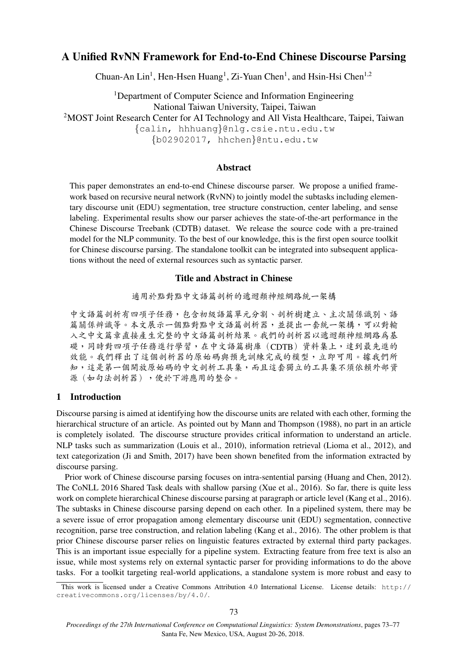# A Unified RvNN Framework for End-to-End Chinese Discourse Parsing

Chuan-An Lin<sup>1</sup>, Hen-Hsen Huang<sup>1</sup>, Zi-Yuan Chen<sup>1</sup>, and Hsin-Hsi Chen<sup>1,2</sup>

<sup>1</sup>Department of Computer Science and Information Engineering National Taiwan University, Taipei, Taiwan <sup>2</sup>MOST Joint Research Center for AI Technology and All Vista Healthcare, Taipei, Taiwan {calin, hhhuang}@nlg.csie.ntu.edu.tw {b02902017, hhchen}@ntu.edu.tw

### Abstract

This paper demonstrates an end-to-end Chinese discourse parser. We propose a unified framework based on recursive neural network (RvNN) to jointly model the subtasks including elementary discourse unit (EDU) segmentation, tree structure construction, center labeling, and sense labeling. Experimental results show our parser achieves the state-of-the-art performance in the Chinese Discourse Treebank (CDTB) dataset. We release the source code with a pre-trained model for the NLP community. To the best of our knowledge, this is the first open source toolkit for Chinese discourse parsing. The standalone toolkit can be integrated into subsequent applications without the need of external resources such as syntactic parser.

# Title and Abstract in Chinese

<sup>適</sup>用於點對點中文語篇剖析的遞迴類神經網路統一架<sup>構</sup>

<sup>中</sup>文語篇剖析有四項子任務,包含初級語篇單元分割、剖析樹建立、主次關係識別、<sup>語</sup> 篇關係辨識等。本文展示一個點對點中文語篇剖析器,並提出一套統一架構,可以對輸 <sup>入</sup>之中文篇章直接產生完整的中文語篇剖析結果。我們的剖析器以遞迴類神經網路為<sup>基</sup> <sup>礎</sup>,同時對四項子任務進行學習,在中文語篇樹庫(CDTB)資料集上,達到最先進的 <sup>效</sup>能。我們釋出了這個剖析器的原始碼與預先訓練完成的模型,立即可用。據我們所 <sup>知</sup>,這是第一個開放原始碼的中文剖析工具集,而且這套獨立的工具集不須依賴外部<sup>資</sup> 源(如句法剖析器),便於下游應用的整合。

## 1 Introduction

Discourse parsing is aimed at identifying how the discourse units are related with each other, forming the hierarchical structure of an article. As pointed out by [Mann and Thompson \(1988\)](#page-4-0), no part in an article is completely isolated. The discourse structure provides critical information to understand an article. NLP tasks such as summarization [\(Louis et al., 2010\)](#page-4-1), information retrieval [\(Lioma et al., 2012\)](#page-4-2), and text categorization [\(Ji and Smith, 2017\)](#page-4-3) have been shown benefited from the information extracted by discourse parsing.

Prior work of Chinese discourse parsing focuses on intra-sentential parsing [\(Huang and Chen, 2012\)](#page-4-4). The CoNLL 2016 Shared Task deals with shallow parsing [\(Xue et al., 2016\)](#page-4-5). So far, there is quite less work on complete hierarchical Chinese discourse parsing at paragraph or article level [\(Kang et al., 2016\)](#page-4-6). The subtasks in Chinese discourse parsing depend on each other. In a pipelined system, there may be a severe issue of error propagation among elementary discourse unit (EDU) segmentation, connective recognition, parse tree construction, and relation labeling [\(Kang et al., 2016\)](#page-4-6). The other problem is that prior Chinese discourse parser relies on linguistic features extracted by external third party packages. This is an important issue especially for a pipeline system. Extracting feature from free text is also an issue, while most systems rely on external syntactic parser for providing informations to do the above tasks. For a toolkit targeting real-world applications, a standalone system is more robust and easy to

This work is licensed under a Creative Commons Attribution 4.0 International License. License details: [http://](http://creativecommons.org/licenses/by/4.0/) [creativecommons.org/licenses/by/4.0/](http://creativecommons.org/licenses/by/4.0/).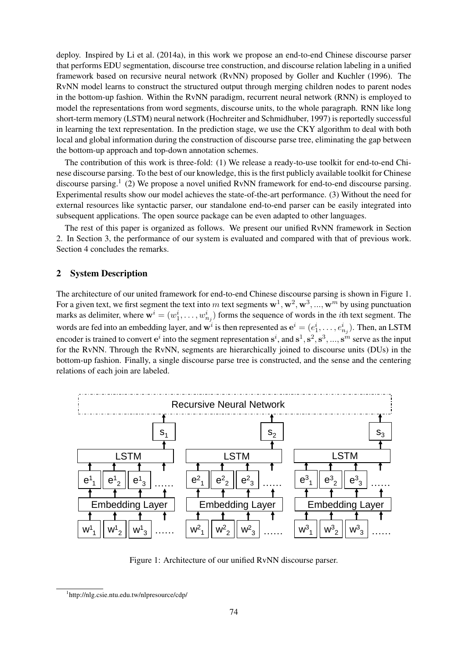deploy. Inspired by [Li et al. \(2014a\)](#page-4-7), in this work we propose an end-to-end Chinese discourse parser that performs EDU segmentation, discourse tree construction, and discourse relation labeling in a unified framework based on recursive neural network (RvNN) proposed by [Goller and Kuchler \(1996\)](#page-4-8). The RvNN model learns to construct the structured output through merging children nodes to parent nodes in the bottom-up fashion. Within the RvNN paradigm, recurrent neural network (RNN) is employed to model the representations from word segments, discourse units, to the whole paragraph. RNN like long short-term memory (LSTM) neural network [\(Hochreiter and Schmidhuber, 1997\)](#page-4-9) is reportedly successful in learning the text representation. In the prediction stage, we use the CKY algorithm to deal with both local and global information during the construction of discourse parse tree, eliminating the gap between the bottom-up approach and top-down annotation schemes.

The contribution of this work is three-fold: (1) We release a ready-to-use toolkit for end-to-end Chinese discourse parsing. To the best of our knowledge, this is the first publicly available toolkit for Chinese discourse parsing.<sup>[1](#page-1-0)</sup> (2) We propose a novel unified RvNN framework for end-to-end discourse parsing. Experimental results show our model achieves the state-of-the-art performance. (3) Without the need for external resources like syntactic parser, our standalone end-to-end parser can be easily integrated into subsequent applications. The open source package can be even adapted to other languages.

The rest of this paper is organized as follows. We present our unified RvNN framework in Section [2.](#page-1-1) In Section [3,](#page-3-0) the performance of our system is evaluated and compared with that of previous work. Section [4](#page-3-1) concludes the remarks.

## <span id="page-1-1"></span>2 System Description

The architecture of our united framework for end-to-end Chinese discourse parsing is shown in Figure [1.](#page-1-2) For a given text, we first segment the text into m text segments  $w^1, w^2, w^3, ..., w^m$  by using punctuation marks as delimiter, where  $\mathbf{w}^i = (w_1^i, \dots, w_{n_j}^i)$  forms the sequence of words in the *i*th text segment. The words are fed into an embedding layer, and  $\mathbf{w}^i$  is then represented as  $\mathbf{e}^i = (e_1^i, \dots, e_{n_j}^i)$ . Then, an LSTM encoder is trained to convert  $e^i$  into the segment representation  $s^i$ , and  $s^1, s^2, s^3, ..., s^m$  serve as the input for the RvNN. Through the RvNN, segments are hierarchically joined to discourse units (DUs) in the bottom-up fashion. Finally, a single discourse parse tree is constructed, and the sense and the centering relations of each join are labeled.



<span id="page-1-2"></span>Figure 1: Architecture of our unified RvNN discourse parser.

<span id="page-1-0"></span><sup>-&</sup>lt;br><sup>1</sup>http://nlg.csie.ntu.edu.tw/nlpresource/cdp/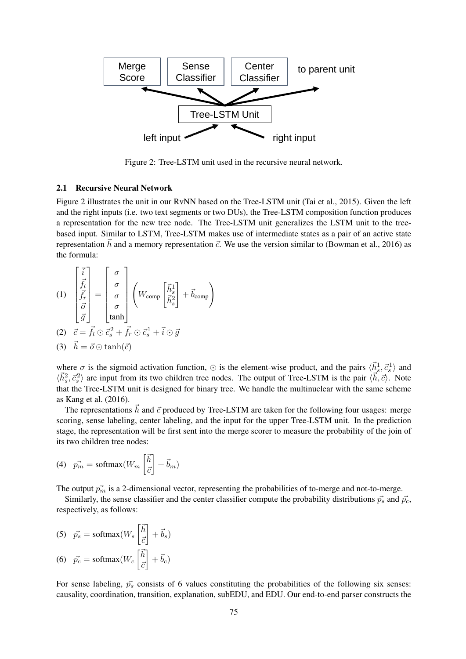

<span id="page-2-0"></span>Figure 2: Tree-LSTM unit used in the recursive neural network.

#### 2.1 Recursive Neural Network

Figure [2](#page-2-0) illustrates the unit in our RvNN based on the Tree-LSTM unit [\(Tai et al., 2015\)](#page-4-10). Given the left and the right inputs (i.e. two text segments or two DUs), the Tree-LSTM composition function produces a representation for the new tree node. The Tree-LSTM unit generalizes the LSTM unit to the treebased input. Similar to LSTM, Tree-LSTM makes use of intermediate states as a pair of an active state representation  $\vec{h}$  and a memory representation  $\vec{c}$ . We use the version similar to [\(Bowman et al., 2016\)](#page-4-11) as the formula:

(1)
$$
\begin{bmatrix} \vec{i} \\ \vec{f}_l \\ \vec{f}_r \\ \vec{g} \end{bmatrix} = \begin{bmatrix} \sigma \\ \sigma \\ \sigma \\ \sigma \\ \tanh \end{bmatrix} \begin{pmatrix} W_{\text{comp}} \\ \vec{h}_s^1 \\ \vec{h}_s^2 \end{pmatrix} + \vec{b}_{\text{comp}} \end{bmatrix}
$$
  
\n(2)
$$
\vec{c} = \vec{f}_l \odot \vec{c}_s^2 + \vec{f}_r \odot \vec{c}_s^1 + \vec{i} \odot \vec{g}
$$
  
\n(3)
$$
\vec{h} = \vec{o} \odot \tanh(\vec{c})
$$

where  $\sigma$  is the sigmoid activation function,  $\odot$  is the element-wise product, and the pairs  $\langle \vec{h}_s^1, \vec{c}_s^1 \rangle$  and  $\langle \vec{h}_s^2, \vec{c}_s^2 \rangle$  are input from its two children tree nodes. The output of Tree-LSTM is the pair  $\langle \vec{h}, \vec{c} \rangle$ . Note that the Tree-LSTM unit is designed for binary tree. We handle the multinuclear with the same scheme as [Kang et al. \(2016\)](#page-4-6).

The representations  $\vec{h}$  and  $\vec{c}$  produced by Tree-LSTM are taken for the following four usages: merge scoring, sense labeling, center labeling, and the input for the upper Tree-LSTM unit. In the prediction stage, the representation will be first sent into the merge scorer to measure the probability of the join of its two children tree nodes:

(4) 
$$
\vec{p_m} = \text{softmax}(W_m \begin{bmatrix} \vec{h} \\ \vec{c} \end{bmatrix} + \vec{b}_m)
$$

The output  $\vec{p}_m$  is a 2-dimensional vector, representing the probabilities of to-merge and not-to-merge.

Similarly, the sense classifier and the center classifier compute the probability distributions  $\vec{p_s}$  and  $\vec{p_c}$ , respectively, as follows:

(5) 
$$
\vec{p_s} = \text{softmax}(W_s \begin{bmatrix} \vec{h} \\ \vec{c} \end{bmatrix} + \vec{b}_s)
$$
  
(6)  $\vec{p_c} = \text{softmax}(W_c \begin{bmatrix} \vec{h} \\ \vec{c} \end{bmatrix} + \vec{b}_c)$ 

For sense labeling,  $\vec{p}_s$  consists of 6 values constituting the probabilities of the following six senses: causality, coordination, transition, explanation, subEDU, and EDU. Our end-to-end parser constructs the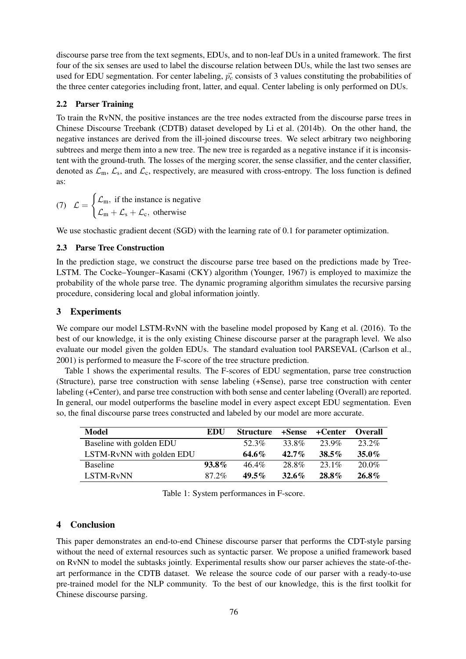discourse parse tree from the text segments, EDUs, and to non-leaf DUs in a united framework. The first four of the six senses are used to label the discourse relation between DUs, while the last two senses are used for EDU segmentation. For center labeling,  $\vec{p}_c$  consists of 3 values constituting the probabilities of the three center categories including front, latter, and equal. Center labeling is only performed on DUs.

## 2.2 Parser Training

To train the RvNN, the positive instances are the tree nodes extracted from the discourse parse trees in Chinese Discourse Treebank (CDTB) dataset developed by [Li et al. \(2014b\)](#page-4-12). On the other hand, the negative instances are derived from the ill-joined discourse trees. We select arbitrary two neighboring subtrees and merge them into a new tree. The new tree is regarded as a negative instance if it is inconsistent with the ground-truth. The losses of the merging scorer, the sense classifier, and the center classifier, denoted as  $\mathcal{L}_m$ ,  $\mathcal{L}_s$ , and  $\mathcal{L}_c$ , respectively, are measured with cross-entropy. The loss function is defined as:

(7) 
$$
\mathcal{L} = \begin{cases} \mathcal{L}_{m}, & \text{if the instance is negative} \\ \mathcal{L}_{m} + \mathcal{L}_{s} + \mathcal{L}_{c}, & \text{otherwise} \end{cases}
$$

We use stochastic gradient decent (SGD) with the learning rate of 0.1 for parameter optimization.

## 2.3 Parse Tree Construction

In the prediction stage, we construct the discourse parse tree based on the predictions made by Tree-LSTM. The Cocke–Younger–Kasami (CKY) algorithm [\(Younger, 1967\)](#page-4-13) is employed to maximize the probability of the whole parse tree. The dynamic programing algorithm simulates the recursive parsing procedure, considering local and global information jointly.

## <span id="page-3-0"></span>3 Experiments

We compare our model LSTM-RvNN with the baseline model proposed by [Kang et al. \(2016\)](#page-4-6). To the best of our knowledge, it is the only existing Chinese discourse parser at the paragraph level. We also evaluate our model given the golden EDUs. The standard evaluation tool PARSEVAL [\(Carlson et al.,](#page-4-14) [2001\)](#page-4-14) is performed to measure the F-score of the tree structure prediction.

Table [1](#page-3-2) shows the experimental results. The F-scores of EDU segmentation, parse tree construction (Structure), parse tree construction with sense labeling (+Sense), parse tree construction with center labeling (+Center), and parse tree construction with both sense and center labeling (Overall) are reported. In general, our model outperforms the baseline model in every aspect except EDU segmentation. Even so, the final discourse parse trees constructed and labeled by our model are more accurate.

| Model                     | EDU      | <b>Structure</b> |          | +Sense +Center | <b>Overall</b> |
|---------------------------|----------|------------------|----------|----------------|----------------|
| Baseline with golden EDU  |          | 52.3%            | 33.8%    | 23.9%          | 23.2%          |
| LSTM-RvNN with golden EDU |          | $64.6\%$         | $42.7\%$ | $38.5\%$       | $35.0\%$       |
| <b>Baseline</b>           | $93.8\%$ | $46.4\%$         | 28.8%    | 23.1%          | $20.0\%$       |
| LSTM-R <sub>v</sub> NN    | $87.2\%$ | $49.5\%$         | $32.6\%$ | $28.8\%$       | $26.8\%$       |

<span id="page-3-2"></span>Table 1: System performances in F-score.

# <span id="page-3-1"></span>4 Conclusion

This paper demonstrates an end-to-end Chinese discourse parser that performs the CDT-style parsing without the need of external resources such as syntactic parser. We propose a unified framework based on RvNN to model the subtasks jointly. Experimental results show our parser achieves the state-of-theart performance in the CDTB dataset. We release the source code of our parser with a ready-to-use pre-trained model for the NLP community. To the best of our knowledge, this is the first toolkit for Chinese discourse parsing.